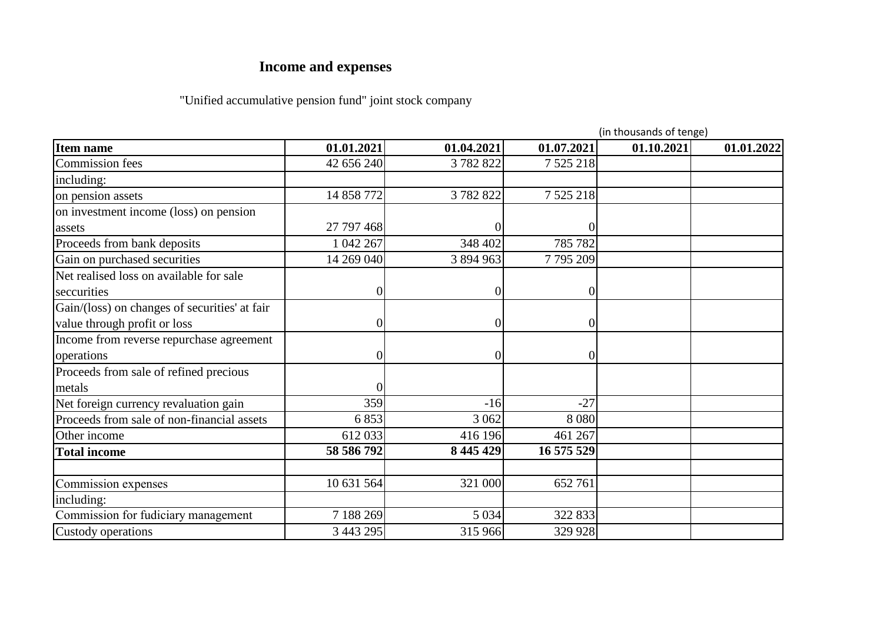## **Income and expenses**

## "Unified accumulative pension fund" joint stock company

|                                               |            |                 |                  | (in thousands of tenge) |            |
|-----------------------------------------------|------------|-----------------|------------------|-------------------------|------------|
| <b>Item name</b>                              | 01.01.2021 | 01.04.2021      | 01.07.2021       | 01.10.2021              | 01.01.2022 |
| <b>Commission</b> fees                        | 42 656 240 | 3782822         | 7 5 25 218       |                         |            |
| including:                                    |            |                 |                  |                         |            |
| on pension assets                             | 14 858 772 | 3782822         | 7 5 25 218       |                         |            |
| on investment income (loss) on pension        |            |                 |                  |                         |            |
| assets                                        | 27 797 468 |                 |                  |                         |            |
| Proceeds from bank deposits                   | 1 042 267  | 348 402         | 785 782          |                         |            |
| Gain on purchased securities                  | 14 269 040 | 3 894 963       | 7795209          |                         |            |
| Net realised loss on available for sale       |            |                 |                  |                         |            |
| seccurities                                   |            | $\vert 0 \vert$ | $\boldsymbol{0}$ |                         |            |
| Gain/(loss) on changes of securities' at fair |            |                 |                  |                         |            |
| value through profit or loss                  |            | $\vert 0 \vert$ | 0                |                         |            |
| Income from reverse repurchase agreement      |            |                 |                  |                         |            |
| operations                                    |            | $\overline{0}$  | 0                |                         |            |
| Proceeds from sale of refined precious        |            |                 |                  |                         |            |
| metals                                        |            |                 |                  |                         |            |
| Net foreign currency revaluation gain         | 359        | $-16$           | $-27$            |                         |            |
| Proceeds from sale of non-financial assets    | 6 8 5 3    | 3 0 6 2         | 8 0 8 0          |                         |            |
| Other income                                  | 612 033    | 416 196         | 461 267          |                         |            |
| <b>Total income</b>                           | 58 586 792 | 8 445 429       | 16 575 529       |                         |            |
|                                               |            |                 |                  |                         |            |
| Commission expenses                           | 10 631 564 | 321 000         | 652 761          |                         |            |
| including:                                    |            |                 |                  |                         |            |
| Commission for fudiciary management           | 7 188 269  | 5 0 34          | 322 833          |                         |            |
| Custody operations                            | 3 443 295  | 315 966         | 329 928          |                         |            |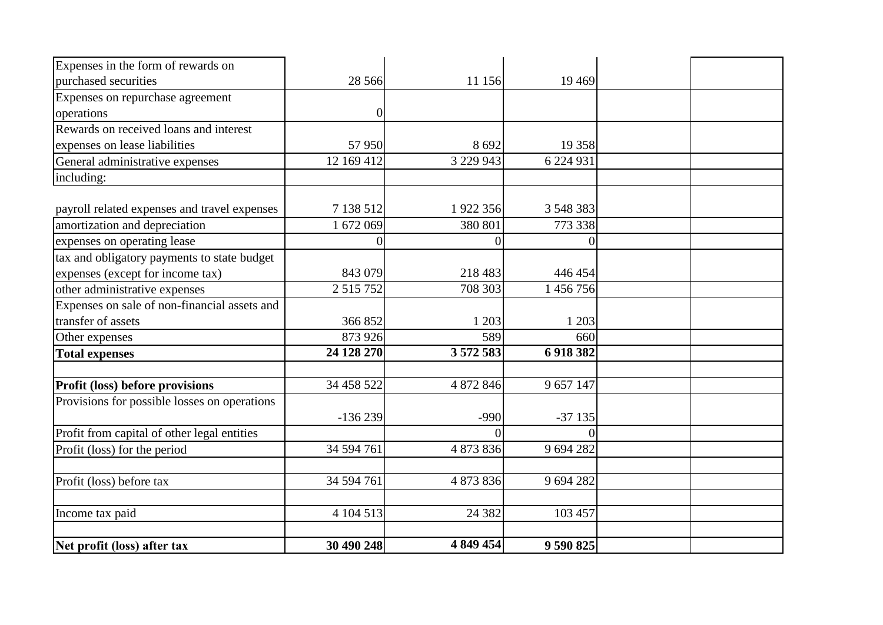| Net profit (loss) after tax                  | 30 490 248    | 4 849 454 | 9 590 825 |  |
|----------------------------------------------|---------------|-----------|-----------|--|
| Income tax paid                              | 4 104 513     | 24 3 8 2  | 103 457   |  |
|                                              |               |           |           |  |
| Profit (loss) before tax                     | 34 594 761    | 4 873 836 | 9 694 282 |  |
|                                              |               |           |           |  |
| Profit (loss) for the period                 | 34 594 761    | 4 873 836 | 9 694 282 |  |
| Profit from capital of other legal entities  |               |           | $\Omega$  |  |
| Provisions for possible losses on operations | $-136239$     | $-990$    | $-37135$  |  |
| Profit (loss) before provisions              | 34 458 522    | 4 872 846 | 9 657 147 |  |
|                                              |               |           |           |  |
| <b>Total expenses</b>                        | 24 128 270    | 3 572 583 | 6 918 382 |  |
| Other expenses                               | 873 926       | 589       | 660       |  |
| transfer of assets                           | 366 852       | 1 203     | 1 2 0 3   |  |
| Expenses on sale of non-financial assets and |               |           |           |  |
| other administrative expenses                | 2 5 1 5 7 5 2 | 708 303   | 1 456 756 |  |
| expenses (except for income tax)             | 843 079       | 218 483   | 446 454   |  |
| tax and obligatory payments to state budget  |               |           |           |  |
| expenses on operating lease                  | $\Omega$      |           | $\theta$  |  |
| amortization and depreciation                | 1 672 069     | 380 801   | 773 338   |  |
| payroll related expenses and travel expenses | 7 138 512     | 1922 356  | 3 548 383 |  |
| including:                                   |               |           |           |  |
| General administrative expenses              | 12 169 412    | 3 229 943 | 6 224 931 |  |
| expenses on lease liabilities                | 57 950        | 8692      | 19 358    |  |
| Rewards on received loans and interest       |               |           |           |  |
| operations                                   | 0             |           |           |  |
| Expenses on repurchase agreement             |               |           |           |  |
| purchased securities                         | 28 5 6 6      | 11 156    | 19 4 69   |  |
| Expenses in the form of rewards on           |               |           |           |  |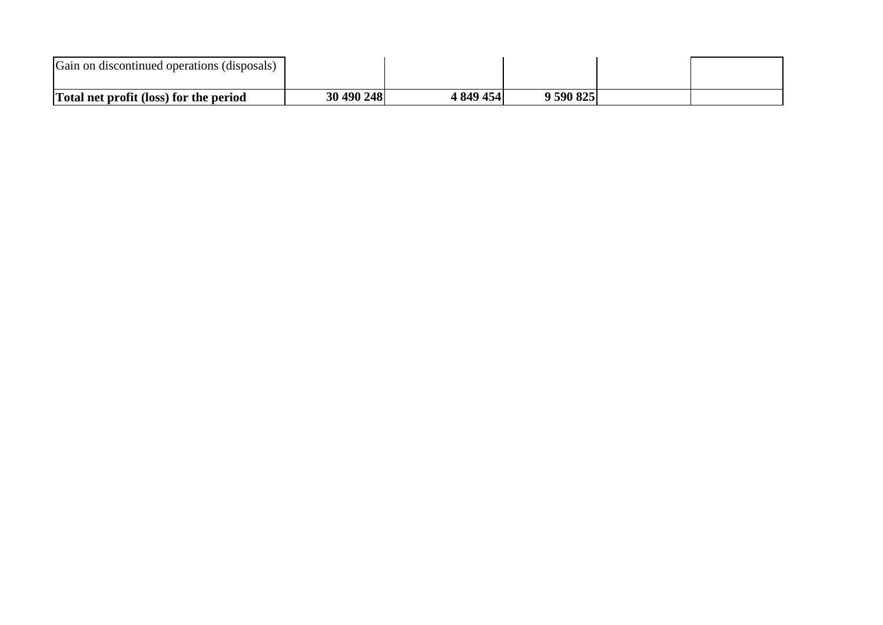| Gain on discontinued operations (disposals)   |            |          |         |  |
|-----------------------------------------------|------------|----------|---------|--|
| <b>Total net profit (loss) for the period</b> | 30 490 248 | 849 454′ | 590 825 |  |